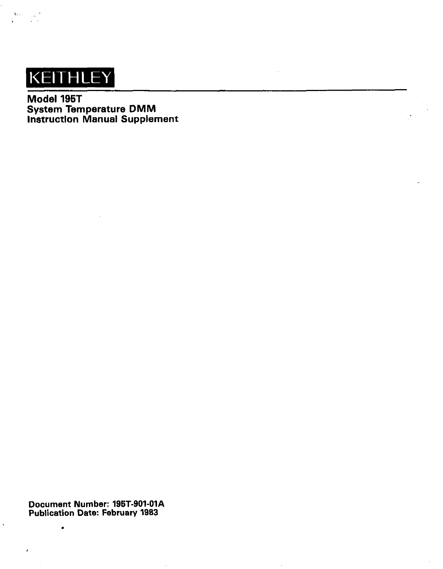

 $\chi_{\rm 1.1}$ 

 $\sim 12^{-2}$ 

Model 195T System Temperature DMM Instruction Manual Supplemer

Document Number: 195T-901-01/ Publication Date: February 1993

.

 $\hat{\mathbf{v}}$  .

 $\epsilon$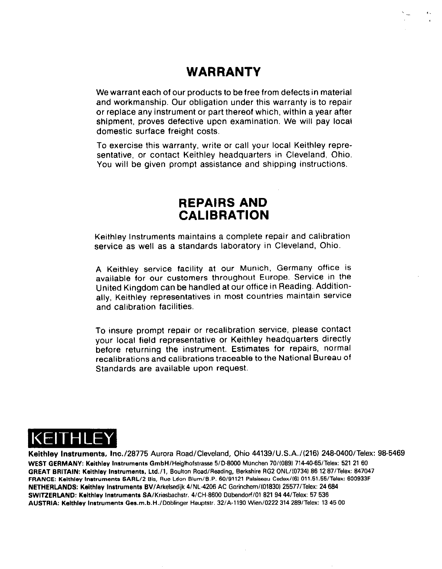# WARRANTY

We warrant each of our products to be free from defects in material and workmanship. Our obligation under this warranty is to repair or replace any instrument or part thereof which, within a year after shipment, proves defective upcn examination. We will pay local domestic surface freight costs.

To exercise this warranty, write or call your local Keithley representative, or contact Keithley headquarters in Cleveland, Ohio. You will be given prompt assistance and shipping instructions.

# REPAIRS AND CALIBRATION

Keithley Instruments maintains a complete repair and calibration service as well as a standards laboratory in Cleveland, Ohio.

A Keithley service facility at our Munich, Germany office is available for our customers throughout Europe. Service in the United Kingdom can be handled at our office in Reading. Additionally, Keithley representatives in most countries maintain service and calibration facilities.

To insure prompt repair or recalibration service, please contact your local field representative or Keithley headquarters directly before returning the instrument. Estimates for repairs, normal recalibrations and calibrations traceable to the National Bureau of Standards are available upon request.



Keithley Instruments, Inc./28775 Aurora Road/Cleveland, Ohio 44139/U.S.A./(216) 248-0400/Telex: 98-5469 WEST GERMANY: Keithley Instruments GmbH/Heiglhofstrasse 5/D-8000 München 70/(089) 714-40-65/Telex: 521 21 60 GREAT BRITAIN: Keithley Instruments, Ltd./1, Boulton Road/Reading, Berkshire RG2 ONL/(0734) 86 12 87/Telex: 847047 FRANCE: Keithley Instruments SARL/2 Bis, Rue Leon Blum/B.P. 60/91121 Palaiseau Cedex/(6) 011.51.55/Telex: 600933F NETHERLANDS: Keithley Instruments BV/Arkelsedijk 4/NL-4206 AC Gorinchem/(01830) 25577/Telex: 24 684 SWITZERLAND: Keithley Instruments SA/Kriesbachstr. 4/CH-8600 Dübendorf/01 821 94 44/Telex: 57 536 AUSTRIA: Kslthley instruments Ges.m.b.H./OOblinger Hauptstr. 32/A-1190 Wien/0222 314 2BS/Telex: 13 45 00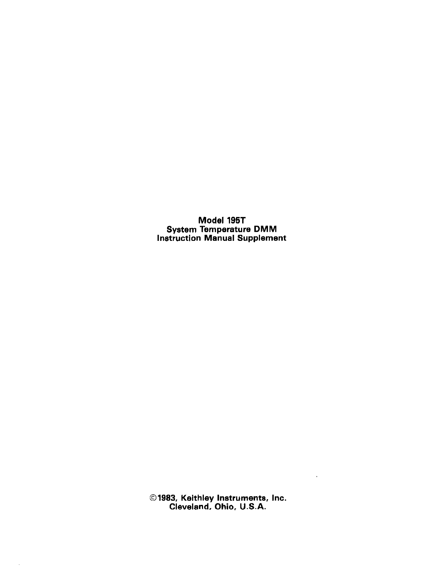Model 195T System Temperature DMM Instruction Manual Suppleme

01983, Keithley Instruments, Inc. Cleveland, Ohio, U.S.A.

 $\sim 10^7$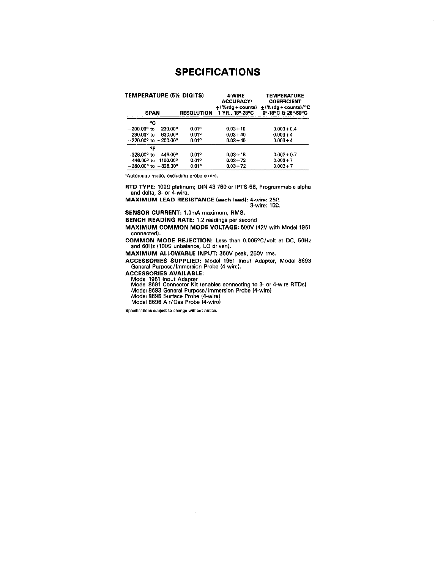### SPECIFICATIONS

| <b>TEMPERATURE (51/2 DIGITS)</b><br><b>SPAN</b> | <b>RESOLUTION</b> | 4 WIRE<br><b>ACCURACY</b> <sup>1</sup><br>$+(%rda + counts)$<br>1 YR., 18°-28°C | <b>TEMPERATURE</b><br><b>COEFFICIENT</b><br>$+(%rda + counts)/°C$<br>0°-18°C & 28°-50°C |  |
|-------------------------------------------------|-------------------|---------------------------------------------------------------------------------|-----------------------------------------------------------------------------------------|--|
| ۰c                                              |                   |                                                                                 |                                                                                         |  |
| $-200.00^{\circ}$ to<br>230,009                 | 0.019             | $0.03 - 10$                                                                     | $0.003 + 0.4$                                                                           |  |
| $230.00^{\circ}$ to<br>$630.00^{\circ}$         | $0.01^{\circ}$    | $0.03 + 40$                                                                     | $0.003 + 4$                                                                             |  |
| $-220.00^{\circ}$ to $-200.00^{\circ}$          | $0.01^{\circ}$    | $0.03 - 40$                                                                     | $0.003 + 4$                                                                             |  |
| ۰F                                              |                   |                                                                                 |                                                                                         |  |
| 446.00°<br>– 328.00° to                         | $0.01^{\circ}$    | $0.03 + 18$                                                                     | $0.003 + 0.7$                                                                           |  |
| 446.00° to<br>1100.00°                          | 0.019             | $0.03 + 72$                                                                     | $0.003 + 7$                                                                             |  |
| $-360.00^{\circ}$ to $-328.00^{\circ}$          | $0.01^{\circ}$    | $0.03 + 72$                                                                     | $0.003 + 7$                                                                             |  |

<sup>1</sup>Autorange mode, excluding probe errors.

RTD TYPE: 1000 platinum; DIN 43 760 or IPTS-68, Programmable alpha and delta, 3. or 4.wire.

MAXIMUM LEAD RESISTANCE (each lead): 4-wire: 250.  $3$ -wire: 15 $\Omega$ .

SENSOR CURRENT: 1.0mA maximum, RMS.

BENCH READING RATE: 1.2 readings per second.

MAXIMUM COMMON MODE VOLTAGE: 500V (42V with Model 1951 connected).

COMMON MODE REJECTION: Less than 0.005°C/volt at DC, 50Hz and 60Hz (100 $\Omega$  unbalance, LO driven).

MAXIMUM ALLOWABLE INPUT: 360V peak. 250V rms.

ACCESSORIES SUPPLIED: Model 1951 Input Adapter, Model 8693<br>General Purpose/Immersion Probe (4-wire).

ACCESSORIES AVAILABLE:

Model 1951 Input Adapter<br>Model 8691 Connector Kit (enables connecting to 3- or 4-wire RTDs)<br>Model 8693 General Purpose/Immersion Probe (4-wire)<br>Model 8695 Surface Probe (4-wire)

Model 8696 Air/Gas Probe (4-wire)

Specifications subject to change without notice.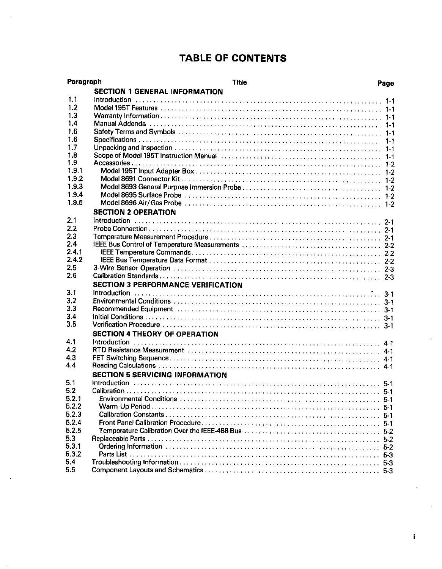# TABLE OF CONTENTS

| Paragraph | <b>Title</b>                                                                                                    | Page |
|-----------|-----------------------------------------------------------------------------------------------------------------|------|
|           | <b>SECTION 1 GENERAL INFORMATION</b>                                                                            |      |
| 1.1       |                                                                                                                 |      |
| 1.2       |                                                                                                                 |      |
| 1.3       |                                                                                                                 |      |
| 1.4       | Manual Addenda (and according to the control of the control of the control of the control of the control of the |      |
| 1.5       |                                                                                                                 |      |
| 1.6       |                                                                                                                 |      |
| 1.7       |                                                                                                                 |      |
| 1.8       |                                                                                                                 |      |
| 1.9       |                                                                                                                 |      |
| 1.9.1     |                                                                                                                 |      |
| 1.9.2     |                                                                                                                 |      |
| 1.9.3     |                                                                                                                 |      |
| 1.9.4     |                                                                                                                 |      |
| 1.9.5     |                                                                                                                 |      |
|           |                                                                                                                 |      |
|           | <b>SECTION 2 OPERATION</b>                                                                                      |      |
| 2.1       |                                                                                                                 |      |
| 2.2       |                                                                                                                 |      |
| 2.3       |                                                                                                                 |      |
| 2.4       |                                                                                                                 |      |
| 2.4.1     |                                                                                                                 |      |
| 2.4.2     |                                                                                                                 |      |
| 2.5       |                                                                                                                 |      |
| 2.6       |                                                                                                                 |      |
|           | <b>SECTION 3 PERFORMANCE VERIFICATION</b>                                                                       |      |
| 3.1       |                                                                                                                 |      |
| 3.2       |                                                                                                                 |      |
| 3.3       |                                                                                                                 |      |
| 3.4       |                                                                                                                 |      |
| 3.5       |                                                                                                                 |      |
|           |                                                                                                                 |      |
|           | <b>SECTION 4 THEORY OF OPERATION</b>                                                                            |      |
| 4.1       |                                                                                                                 |      |
| 4.2       |                                                                                                                 |      |
| 4.3       |                                                                                                                 |      |
| 4.4       |                                                                                                                 |      |
|           | <b>SECTION 5 SERVICING INFORMATION</b>                                                                          |      |
| 5.1       |                                                                                                                 |      |
| 5.2       |                                                                                                                 |      |
| 5.2.1     |                                                                                                                 |      |
| 5.2.2     |                                                                                                                 |      |
| 5.2.3     |                                                                                                                 |      |
| 5.2.4     |                                                                                                                 |      |
| 5.2.5     |                                                                                                                 |      |
| 5.3       |                                                                                                                 |      |
| 5.3.1     |                                                                                                                 |      |
| 5.3.2     |                                                                                                                 |      |
| 5.4       |                                                                                                                 |      |
| 5.5       |                                                                                                                 |      |

 $\mathbf{i}$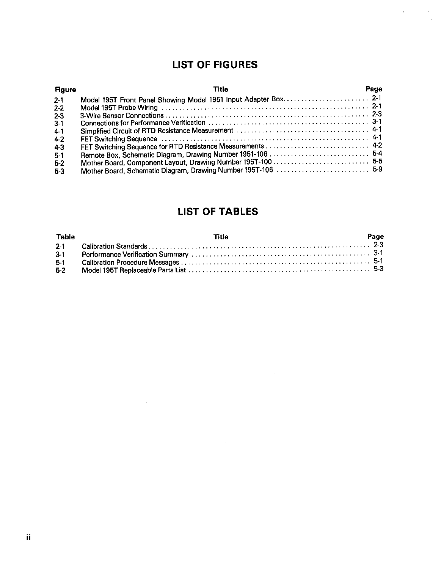## LIST OF FIGURES

 $\hat{\boldsymbol{\gamma}}$ 

 $\hat{\theta}$ 

| <b>Figure</b> | Title | Page |
|---------------|-------|------|
| $2 - 1$       |       |      |
| $2 - 2$       |       |      |
| $2 - 3$       |       |      |
| $3 - 1$       |       |      |
| $4 - 1$       |       |      |
| $4-2$         |       |      |
| $4-3$         |       |      |
| $5-1$         |       |      |
| $5 - 2$       |       |      |
| $5-3$         |       |      |

# LIST OF TABLES

| <b>Table</b> | Title | Page |
|--------------|-------|------|
|              |       |      |
|              |       |      |
|              |       |      |
|              |       |      |

 $\sim 10^{-1}$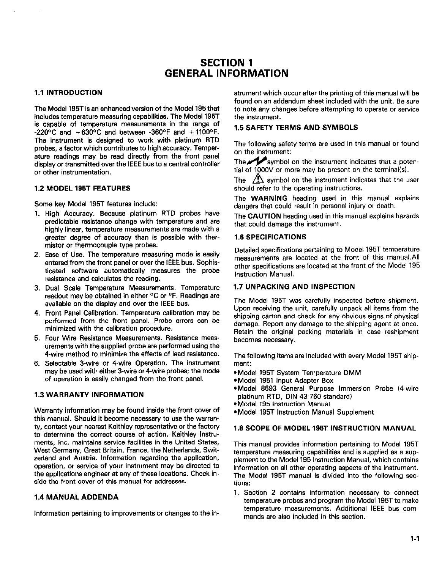### SECTION 1 GENERAL INFORMATION

#### 1.1 INTRODUCTION

The Model 195T is an enhanced version of the Model 195 that includes temperature measuring capabilities. The Model 195T is capable of temperature measurements in the range of -220°C and  $+630$ °C and between -360°F and  $+1100$ °F. The instrument is designed to work with platinum RTD probes, a factor which contributes to high accuracy. Temperature readings may be read directly from the front panel display or transmitted over the IEEE bus to a central controller or other instrumentation.

#### 1.2 MODEL 195T FEATURES

Some kev Model 195T features include:

- 1. High Accuracy. Because platinum RTD probes have predictable resistance change with temperature and are highly linear, temperature measurements are made with a greater degree of accuracy than is possible with thermistor or thermocouple type probes.
- 2. Ease of Use. The temperature measuring mode is easily entered from the front panel or over the IEEE bus. Sophisticated software automatically measures the probe resistance and calculates the reading.
- 3. Dual Scale Temperature Measurements. Temperature readout may be obtained in either <sup>o</sup>C or <sup>o</sup>F. Readings are available on the display and over the IEEE bus.
- 4. Front Panel Calibration. Temperature calibration may be performed from the front panel. Probe errors can be minimized with the calibration procedure.
- 5. Four Wire Resistance Measurements. Resistance measurements with the supplied probe are performed using the 4-wire method to minimize the effects of lead resistance.
- 6. Selectable 3-wire or 4-wire Operation. The instrument may be used with either 3-wire or 4-wire probes; the mods of operation is easily changed from the front panel.

#### 1.3 WARRANTY INFORMATION

Warranty information may be found inside the front cover of this manual. Should it become necessary to use the warranty, contact your nearest Keithley representative or the factory to determine the correct course of action. Keithley Instruments, Inc. maintains service facilities in the United States, West Germany, Great Britain, France, the Netherlands, Switzerland and Austria. Information regarding the application, operation, or service of Your instrument may be directed to the applications engineer at any of these locations. Check inside the front cover of this manual for addresses.

#### 1.4 MANUAL ADDENDA

Information pertaining to improvements or changes to the in-

strument which occur after the printing of this manual will be found on an addendum sheet included with the unit. Be sure to note any changes before attempting to operate or service the instrument.

#### 1.5 SAFETY TERMS AND SYMBOLS

The following safety terms are used in this manual or found on the instrument:

The  $\blacktriangleright$  symbol on the instrument indicates that a potential of 1OOOV or more may be present on the terminal(s).

The  $\sqrt{N}$  symbol on the instrument indicates that the user should refer to the operating instructions.

The **WARNING** heading used in this manual explains dangers that could result in personal injury or death.

The CAUTION heading used in this manual explains hazards that could damage the instrument.

#### 1.6 SPECIFICATIONS

Detailed specifications pertaining to Model 195T temperature measurements are located at the front of this manual.All other specifications are located at the front of the Model 195 Instruction Manual.

#### 1.7 UNPACKING AND INSPECTION

The Model 195T was carefully inspected before shipment. Upon receiving the unit, carefully unpack all items from the shipping carton and check for any obvious signs of physical damage. Report any damage to the shipping agent at once. Retain the original packing materials in case reshipment becomes necessary.

The following items are included with every Model 195T shipment:

- -Model 195T System Temperature DMM
- \*Model 1951 Input Adapter Box
- .Model 8693 General Purpose Immersion Probe (4-wire platinum RTD, DIN 43 760 standard)
- \*Model 195 Instruction Manual
- \*Model 195T Instruction Manual Supplement

#### 1.8 SCOPE OF MODEL 195T INSTRUCTION MANUAL

This manual provides information pertaining to Model 195T temperature measuring capabilities and is supplied as a supplement to the Model 195 Instruction Manual, which contains information on all other operating aspects of the instrument. The Model 195T manual is divided into the following sections:

1. Section 2 contains information necessary to connect temperature probes and program the Model 195T to make temperature measurements. Additional IEEE bus commands are also included in this section.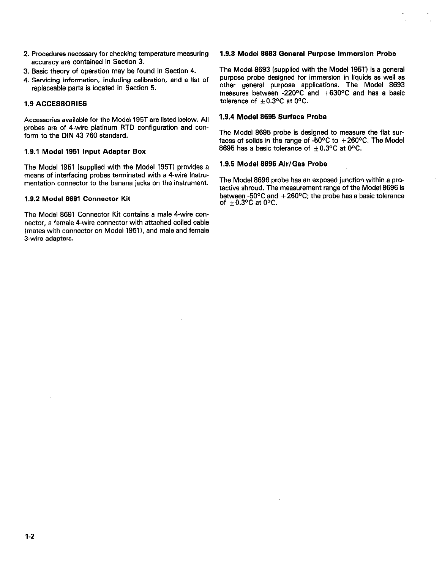- 2. Procedures necessary for checking temperature measuring accuracy are contained in Section 3.
- 3. Basic theory of operation may be found in Section 4.
- 4. Servicing information, including calibration, and a list of replaceable parts is located in Section 5.

#### 1.9 ACCESSORIES

Accessories available for the Model 195T are listed below. All probes are of 4-wire platinum RTD configuration and conform to the DIN 43 760 standard.

#### 1.9.1 Model 1951 Input Adapter Box

The Model 1951 (supplied with the Model 195T) provides a means of interfacing probes terminated with a 4-wire instrumentation connector to the banana jacks on the instrument.

#### 1.9.2 Model 9691 Connector Kit

The Model 8691 Connector Kit contains a male 4-wire connector, a female 4-wire connector with attached coiled cable (mates with connector on Model 1951). and male and female 3-wire adapters.

#### 1.9.3 Modal 8693 General Purpose Immersion Probe

The Model 8693 (supplied with the Model 195T) is a general purpose probe designed for immersion in liquids as well as other general purpose applications. The Model 8693 measures between -220 $\degree$ C and +630 $\degree$ C and has a basic tolerance of  $+0.3$ <sup>o</sup>C at 0<sup>o</sup>C.

#### 1.9.4 Modal 8695 Surface Probe

The Model 8695 probe is designed to measure the flat surfaces of solids in the range of -50 $\degree$ C to +260 $\degree$ C. The Model 8695 has a basic tolerance of  $\pm 0.3$ °C at 0°C.

#### 1.9.5 Modal 8696 Air/Gas Probe

The Model 8696 probe has an exposed junction within a protective shroud. The measurement range of the Model 8696 is between -50 $\degree$ C and +260 $\degree$ C; the probe has a basic tolerance of  $\pm$  0.3°C at 0°C.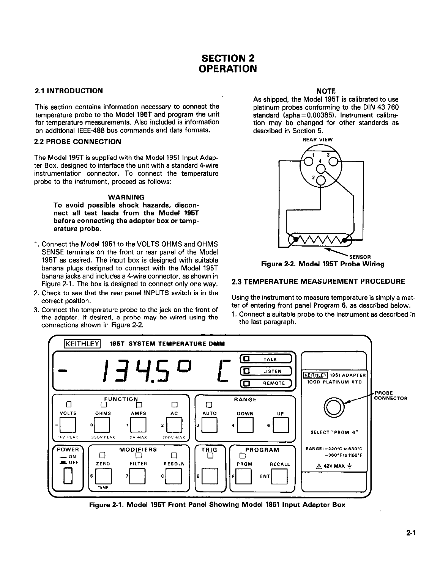### SECTION 2 **OPERATION**

#### 2.1 INTRODUCTION

This section contains information necessary to connect the temperature probe to the Model 195T and program the unit for temperature measurements. Also included is information on additional IEEE-488 bus commands and data formats.

#### 2.2 PROBE CONNECTION

The Model 195T is supplied with the Model 1951 Input Adapter Box, designed to interface the unit with a standard 4-wire instrumentation connector. To connect the temperature probe to the instrument, proceed as follows:

#### WARNING

To avoid possible shock hazards, disconnect all test leads from the Model 196T before connecting the adapter box or tamperature probe.

- 1. Connect the Model 1951 to the VOLTS OHMS and OHMS SENSE terminals on the front or rear panel of the Model 195T as desired. The input box is designed with suitable banana plugs designed to connect with the Model 195T banana jacks and includes a 4-wire connector, as shown in Figure 2-l. The box is designed to connect only one way.
- 2. Check to see that the rear panel INPUTS switch is in the correct position.
- 3. Connect the temperature probe to the jack on the front of the adapter. If desired, a probe may be wired using the connections shown in Figure 2-2.

#### **NOTE**

As shipped, the Model 195T is calibrated to use platinum probes conforming to the DIN 43 760 standard  $\alpha$  (apha = 0.00385). Instrument calibration may be changed for other standards as described in Section 5.



Figure 2-2. Model 195T Probe Wiring

#### 2.3 TEMPERATURE MEASUREMENT PROCEDURE

Using the instrument to measure temperature is simply a matter of entering front panel Program 6, as described below.

1. Connect a suitable probe to the instrument as described in the last paragraph.



Figure 2-l. Model 196T Front Penal Showing Model 1961 input Adapter Box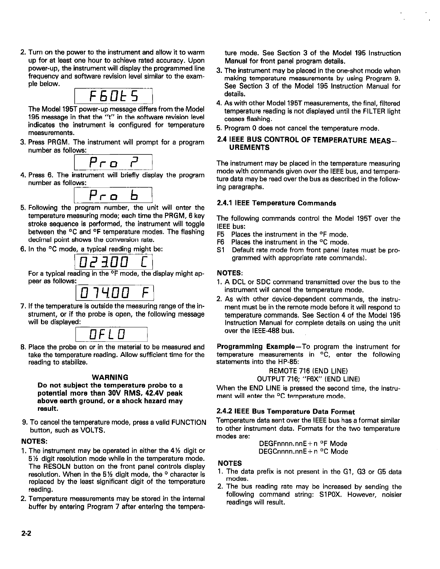2. Turn on the power to the instrument and allow it to warm up for at least one hour to achieve rated accuracy. Upon power-up, the instrument will display the programmed line freauencv and software revision level similar to the example below.

$$
\fbox{F60E5}
$$

The Model 195T power-up message differs from the Model 195 message in that the "t" in the software revision level indicates the instrument is configured for temperature measurements.

3. Press PRGM. The instrument will prompt for a program number as follows:

$$
\begin{array}{|c|c|} \hline P & \cap & \cap \\ \hline \end{array}
$$

4. Press 6. The instrument will briefly display the program number as follows:



- 5. Following the program number, the unit will enter the temperature measuring mods; each time the PRGM, 6 key stroke sequence is performed, the instrument will toggle between the <sup>o</sup>C and <sup>o</sup>F temperature modes. The flashing decimal point shows the conversion rate.
- 6. In the "C mode, a typical reading might be:

-1



For a typical reading in the  $\overline{P}$  mode, the display might appear as follows:



7. If the temperature is outside the measuring range of the instrument, or if the probe is open, the following message will be disolaved:



8. Place the probe on or in the material to be measured and take the temperature reading. Allow sufficient time for the reading to stabilize.

#### WARNING

Do not subject the temperature probe to a potential more than 30V RMS, 42.4V peak above earth ground, or a shock hazard may result.

9. To cancel the temperature mode, press a valid FUNCTION button, such as VOLTS,

#### NOTES:

- 1. The instrument may be operated in either the 4% digit or 5<sup>1/2</sup> digit resolution mode while in the temperature mode. The RESOLN button on the front panel controls display resolution. When in the 5 $h$  digit mode, the  $\circ$  character is replaced by the least significant digit of the temperature reading.
- 2. Temperature measurements may be stored in the internal buffer by entering Program 7 after entering the tempera-

ture mode. See Section 3 of the Model 195 Instruction Manual for front panel program details.

- 3. The instrument may be placed in the one-shot mode when making temperature measurements by using Program 9. See Section 3 of the Model 195 Instruction Manual for details.
- 4. As with other Model 195T measurements, the final, filtered temperature reading is not displayed until the FILTER light ceases flashing.
- 5. Program 0 doss not cancel the temperature mode.

#### 2.4 IEEE BUS CONTROL OF TEMPERATURE MEAS-UREMENTS

The instrument may be placed in the temperature measuring mode with commands given over the IEEE bus, and temperature data may be read over the bus as described in the following paragraphs.

#### 2.4.1 IEEE Temperature Commands

The following commands control the Model 195T over the **IEEE bus:**<br>F5 Place

- Places the instrument in the <sup>o</sup>F mode.
- F6 Places the instrument in the  $\degree$ C mode.
- S1 Default rate mode from front panel (rates must be programmed with appropriate rate commands).

#### NOTES:

- 1. A DCL or SDC command transmitted over the bus to the instrument will cancel the temperature mode.
- 2. As with other device-dependent commands, the instrument must be in the remote mode before it will respond to temperature commands. See Section 4 of the Model 195 Instruction Manual for complete details on using the unit over the IEEE-488 bus.

Programming Example-To program the instrument for temperature measurements in  ${}^{\circ}\tilde{C}$ , enter the following statements into the HP-85:

REMOTE 716 (END LINE)

OUTPUT 716; "F8X" (END LINE1

When the END LINE is pressed the second time, the instrument will enter the <sup>o</sup>C temperature mode.

#### 2.4.2 IEEE Bus Temperature Data Format

Temperature data sent over the IEEE bus has a format similar to other instrument data. Formats for the two temperature modes are:

DEGFnnnn.nnE+n "F Mods DEGCnnnn.nnE+n  $\degree$ C Mode

#### NOTES

- 1. The data prefix is not present in the Gl, G3 or G5 data modes.
- 2. The bus reading rate may be increased by sending the following command string: S1P0X. However, noisier readings will result.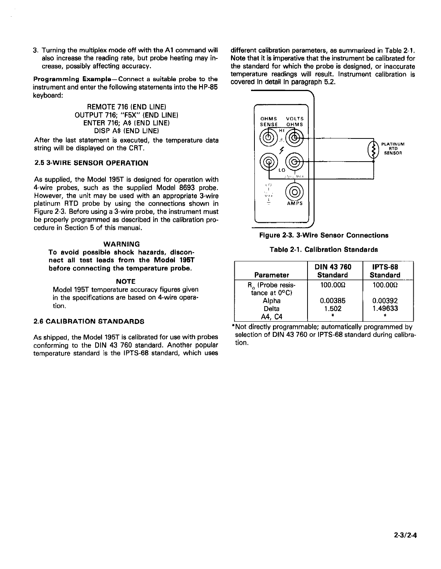3. Turning the multiplex mode off with the Al command will also increase the reading rate, but probe heating may increase, possibly affecting accuracy.

Programming Example-Connect a suitable probe to the instrument and enter the following statements into the HP-85 keyboard:

> REMOTE 716 (END LINE1 OUTPUT 716; "F5X" (END LINE) ENTER 716; A\$ (END LINE) DISP AS (END LINE)

After the last statement is executed, the temperature data string will be displayed on the CRT.

#### 2.5 3-WIRE SENSOR OPERATION

As supplied, the Model 195T is designed for operation with 4-wire probes, such as the supplied Modal 6693 probe. However, the unit may be used with an appropriate 3.wire platinum RTD probe by using the connections shown in Figure 2-3. Before using a 3-wire probe, the instrument must be properly programmed as described in the calibration procedure in Section 5 of this manual.

#### WARNING

To avoid possible shock hazards, disconnect all test leads from the Model 196T before connecting the temperature probe.

#### **NOTE**

Model 195T temperature accuracy figures given in the specifications are based on 4-wire operation.

#### 2.6 CALIBRATION STANDARDS

As shipped, the Model 195T is calibrated for use with probes conforming to the DIN 43 760 standard. Another popular temperature standard is the IPTS-66 standard, which uses

different calibration parameters, as summarized in Table 2-l. Note that it is imperative that the instrument be calibrated for the standard for which the probe is designed, or inaccurate temperature readings will result. Instrument calibration is covered in detail in paragraph 5.2.



Figure 2-3. 3-Wire Sensor Connections

Table 2-1. Calibration Standards

| Parameter                            | DIN 43760<br><b>Standard</b> | <b>IPTS-68</b><br><b>Standard</b> |
|--------------------------------------|------------------------------|-----------------------------------|
| $R_0$ (Probe resis-<br>tance at 0°C) | $100.00\Omega$               | $100.00\Omega$                    |
| Alpha<br>Delta                       | 0.00385<br>1.502             | 0.00392<br>1.49633                |
| A4, C4                               |                              |                                   |

\*Not directly programmable; automatically programmed by selection of DIN 43 760 or IPTS-66 standard during calibration.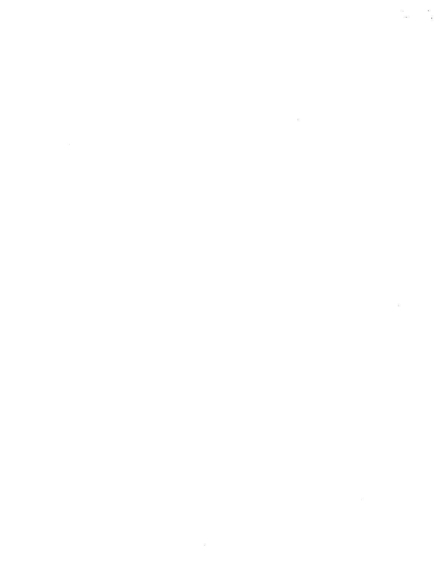$\label{eq:2.1} \frac{1}{\sqrt{2}}\int_{\mathbb{R}^3}\frac{1}{\sqrt{2}}\left(\frac{1}{\sqrt{2}}\right)^2\frac{1}{\sqrt{2}}\left(\frac{1}{\sqrt{2}}\right)^2\frac{1}{\sqrt{2}}\left(\frac{1}{\sqrt{2}}\right)^2.$ 

 $\label{eq:2} \frac{1}{\sqrt{2}}\int_{0}^{\infty}\frac{1}{\sqrt{2\pi}}\left(\frac{1}{\sqrt{2\pi}}\right)^{2}d\mu_{\rm{eff}}\,d\mu_{\rm{eff}}$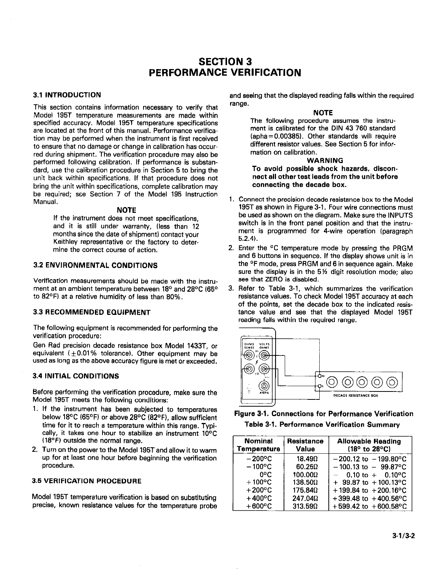### SECTION 3 PERFORMANCE VERIFICATION

#### 3.1 INTRODUCTION

This section contains information necessary to verify that Model 195T temperature measurements are made within specified accuracy. Model 195T temperature specifications are located at the front of this manual. Performance verification may be performed when the instrument is first received to ensure that no damage or change in calibration has occurred during shipment. The verification procedure may also be performed following calibration. If performance is substandard, use the calibration procedure in Section 5 to bring the unit back within specifications. If that procedure does not bring the unit within specifications, complete calibration may be required; see Section 7 of the Model 195 Instruction Manual.

#### **NOTE**

If the instrument does not meet specifications, and it is still under warranty, (less than 12 months since the date of shipment) contact your Keithley representative or the factory to determine the correct coursa of action.

#### 3.2 ENVIRONMENTAL CONDITIONS

Verification measurements should be made with the instrument at an ambient temperature between 18° and 28°C (65° to 82°F) at a relative humidity of less than 80%.

#### 3.3 RECOMMENDED EQUIPMENT

The following equipment is recommended for performing the verification procedure:

Gen Rad precision decade resistance box Model 1433T. or equivalent  $(±0.01\%$  tolerance). Other equipment may be used as long as the above accuracy figure is met or exceeded.

#### 3.4 INITIAL CONDITIONS

Before performing the verification procedure, make sure the Model 195T meets the following conditions:

- 1. If the instrument has been subjected to temperatures below 18°C (65°F) or above 28°C (82°F), allow sufficient time for it to reach a temperature within this range. Typically, it takes one hour to stabilize an instrument 10°C 118°F) outside the normal range.
- 2. Turn on the power to the Model 195T and allow it to warm up for at least one hour before beginning the verification procedure.

#### 3.5 VERIFICATION PROCEDURE

Model 195T temperature verification is based on substituting precise, known resistance values for the temperature probe and seeing that the displayed reading falls within the required range.

#### **NOTE**

The following procedure assumes the instrument is calibrated for the DIN 43 780 standard  $anh = 0.00385$ . Other standards will require different resistor values. See Section 5 for information on calibration.

#### WARNING

To avoid possible shock hazards, disconnect all other test leads from the unit before connecting the decade box.

- I. Connect the precision decade resistance box to the Model 195T as shown in Figure 3-1. Four wire connections must be used as shown on the diagram. Make sure the INPUTS switch is in the front panel position and that the instrument is programmed for 4-wire operation (paragraph 5.2.4).
- 2. Enter the <sup>o</sup>C temperature mode by pressing the PRGM and 6 buttons in sequence. If the display shows unit is in the "F mode, press PRGM and 6 in sequence again. Make sure the display is in the 5% digit resolution mode; also see that ZERO is disabled.
- 3. Refer to Table 3-1, which summarizes the verification resistance values. To check Model 195T accuracy at each of the points, set the decade box to the indicated resistance value and see that the displayed Model 195T reading falls within the required range.





| <b>Nominal</b><br><b>Temperature</b> | <b>Resistance</b><br>Value | <b>Allowable Reading</b><br>$(18^{\circ}$ to $28^{\circ}$ C) |
|--------------------------------------|----------------------------|--------------------------------------------------------------|
| $-200^{\circ}$ C                     | $18.49\Omega$              | $-200.12$ to $-199.80$ <sup>o</sup> C                        |
| $-100^{\circ}$ C                     | $60.25\Omega$              | $-100.13$ to $-99.87$ °C                                     |
| $0^{\circ}$ C                        | 100.00Ω                    | $-$ 0.10 to + 0.10 °C                                        |
| $+100^{\circ}$ C                     | $138.50\Omega$             | $+$ 99.87 to $+$ 100.13°C                                    |
| $+200^{\circ}$ C                     | $175.84\Omega$             | +199.84 to +200.16 °C                                        |
| $+400^{\circ}$ C                     | 247.040                    | $+399.48$ to $+400.56$ °C                                    |
| $+600^{\circ}$ C                     | $313.59\Omega$             | $+599.42$ to $+600.58$ °C                                    |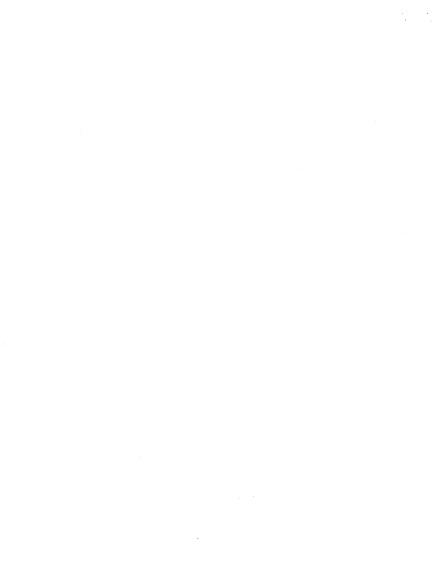$\label{eq:2.1} \frac{1}{\sqrt{2}}\int_{\mathbb{R}^3}\frac{1}{\sqrt{2}}\left(\frac{1}{\sqrt{2}}\right)^2\frac{1}{\sqrt{2}}\left(\frac{1}{\sqrt{2}}\right)^2\frac{1}{\sqrt{2}}\left(\frac{1}{\sqrt{2}}\right)^2\frac{1}{\sqrt{2}}\left(\frac{1}{\sqrt{2}}\right)^2\frac{1}{\sqrt{2}}\left(\frac{1}{\sqrt{2}}\right)^2\frac{1}{\sqrt{2}}\frac{1}{\sqrt{2}}\frac{1}{\sqrt{2}}\frac{1}{\sqrt{2}}\frac{1}{\sqrt{2}}\frac{1}{\sqrt{2}}$  $\label{eq:2.1} \frac{1}{\sqrt{2}}\left(\frac{1}{\sqrt{2}}\right)^{2} \left(\frac{1}{\sqrt{2}}\right)^{2} \left(\frac{1}{\sqrt{2}}\right)^{2} \left(\frac{1}{\sqrt{2}}\right)^{2} \left(\frac{1}{\sqrt{2}}\right)^{2} \left(\frac{1}{\sqrt{2}}\right)^{2} \left(\frac{1}{\sqrt{2}}\right)^{2} \left(\frac{1}{\sqrt{2}}\right)^{2} \left(\frac{1}{\sqrt{2}}\right)^{2} \left(\frac{1}{\sqrt{2}}\right)^{2} \left(\frac{1}{\sqrt{2}}\right)^{2} \left(\$ 

 $\mathcal{L}^{\text{max}}_{\text{max}}$  .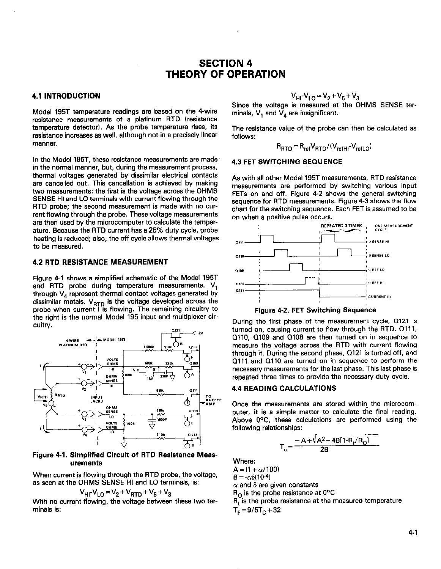### SECTION 4 THEORY OF OPERATION

#### 4.1 INTRODUCTION

Model 195T temperature readings are based on the 4-wire resistance measurements of a platinum RTD (resistance temperature detector). As the probe temperature rises, its resistance increases as well, although not in a precisely linear manner.

In the Model 195T, these resistance measurements are made in the normal manner, but, during the measurement process, thermal voltages generated by dissimilar electrical contacts are cancelled out. This cancellation is achieved by making two measurements: the first is the voltage across the OHMS SENSE HI and LO terminals with current flowing through the RTD probe; the second measurement is made with no current flowing through the probe. These voltage measurements are then used bv the microcomputer to calculate the temperature. Because the RTD current has a 25% duty cycle, probe heating is reduced; also, the off cycle allows thermal voltages to be measured.

#### 4.2 RTD RESISTANCE MEASUREMENT

Figure 4-l shows a simplified schematic of the Model 195T and RTD probe during temperature measurements.  $V_1$ through  $V<sub>4</sub>$  represent thermal contact voltages generated by dissimilar metals.  $\mathsf{V}_{\mathsf{PTD}}$  is the voltage developed across the probe when current I is flowing. The remaining circuitry to the right is the normal Model 195 input and multiplexer circuitry.



Figure 4-I. Simplified Circuit of RTD Resistance Measurements

When current is flowing through the RTD probe, the voltage, as seen at the OHMS SENSE HI and LO terminals, is:

$$
V_{HI} - V_{LO} = V_2 + V_{RTD} + V_5 + V_3
$$

With no current flowing, the voltage between these two terminals is:

$$
V_{HI} - V_{10} = V_2 + V_5 + V_3
$$

Since the voltage is measured at the OHMS SENSE terminals,  $V_1$  and  $V_4$  are insignificant.

The resistance value of the probe can then be calculated as follows:

$$
R_{\rm{RTO}} = R_{\rm{ref}} V_{\rm{RTD}} / (V_{\rm{refHI}} \cdot V_{\rm{refLO}})
$$

#### 4.3 FET SWITCHING SEQUENCE

As with all other Model 195T measurements, RTD resistance measurements are performed by switching various input FETs on and off. Figure 4-2 shows the general switching sequence for RTD measurements. Figure 4-3 shows the flow chart for the switching sequence. Each FET is assumed to be on when a positive pulse occurs.



Flgura 4-2. FET Switching Sequence

During the first phase of the measurement cycle, 0121 is turned on, causing current to flow through the RTD. Q111, Q110, Q109 and Q108 are then turned on in sequence to measure the voltage across the RTD with current flowing through it. During the second phase, Ql21 is turned off, and Q111 and Q110 are turned on in sequence to perform the necessary measurements for the last phase. This last phase is repeated three times to provide the necessary duty cycle.

#### 4.4 READING CALCULATIONS

Once the measurements are stored within. the microcomputer, it is a simple matter to calculate the final reading. Above 0°C, these calculations are performed using the following relationships:

$$
T_c = \frac{-A + \sqrt{A^2 - 4B[1 - R_t/R_O]}}{2B}
$$

Where:

 $A=(1+\alpha/100)$  $B = -\alpha \delta(10^{-4})$  $\alpha$  and  $\delta$  are given constants  $R<sub>O</sub>$  is the probe resistance at 0°C  $R_t$  is the probe resistance at the measured temperature  $T_F = 9/5T_C + 32$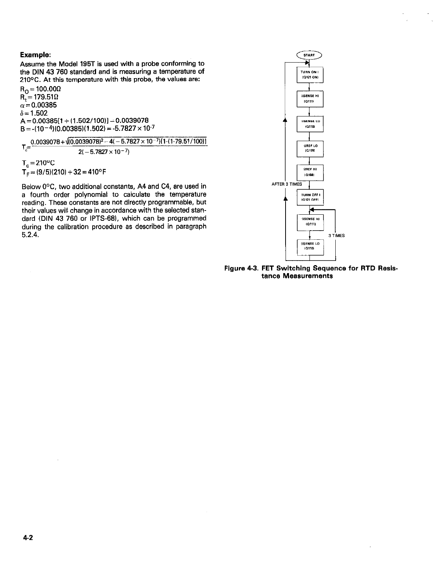#### Example:

 $\sim$ 

Assume the Model 195T is used with a probe conforming to the DIN 43 760 standard and is measuring a temperature of 210°C. At this temperature with this probe, the values are:

 $\rm R_\Omega$  = 100.00 $\Omega$ R,=179.510  $\alpha$  = 0.00385  $\delta$  = 1.502  $A = 0.00385[1 + (1.502/100)] = 0.0039078$  $B=-(10^{-4})(0.00385)(1.502)=-5.7827\times 10^{-7}$ 

T,- 0.0039079+J(0.0039078l\*-4~ -5.7827X lO~')[l-(I-79.51/100)1  $2(-5.7827 \times 10^{-7})$  $T_c = 210^{\circ}$ C<br>T<sub>F</sub> = (9/5)(210) + 32 = 410°F

Below 0°C, two additional constants, A4 and C4, are used in a fourth order polynomial to calculate the temperature reading. These constants are not directly programmable, but their values will change in accordance with the selected standard (DIN 43 760 or IPTS-68). which can be programmed during the calibration procedure as described in paragraph 5.2.4.



 $\mathcal{L}^{\pm}$ 

Figure 43. FET Switching Sequence for RTD Resistance Measurements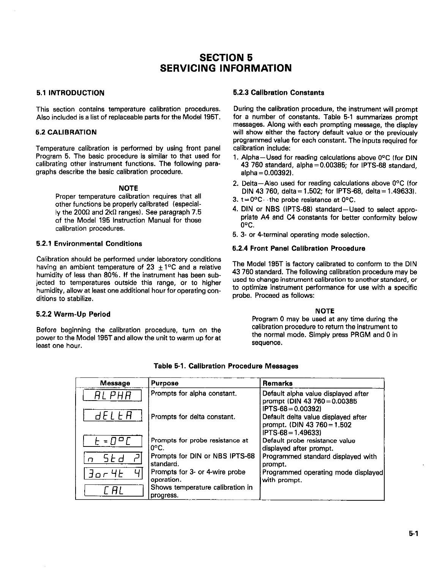### SECTION 5 SERVICING INFORMATION

#### 5.1 INTRODUCTION

This section contains temperature calibration procedures. Also included is a list of replaceable parts for the Model 195T.

#### 5.2 CALIBRATION

Temperature calibration is performed by using front panel Program 5. The basic procedure is similar to that used for calibrating other instrument functions. The following paragraphs describe the basic calibration procedure.

#### **NOTE**

Proper temperature calibration requires that all other functions be properly calibrated (especially the 200 $\Omega$  and 2k $\Omega$  ranges). See paragraph 7.5 of the Model 195 Instruction Manual for those calibration procedures.

#### 5.2.1 Environmental Conditions

Calibration should be performed under laboratory conditions having an ambient temperature of 23  $+1$ °C and a relative humidity of less than 80%. If the instrument has been subjected to temperatures outside this range, or to higher humidity, allow at least one additional hour for operating conditions to stabilize.

#### 5.2.2 Warm-Up Period

Before beginning the calibration procedure, turn on the power to the Model 195T and allow the unit to warm up for at least one hour.

#### 5.2.3 Calibration Constants

During the calibration procedure, the instrument will prompt for a number of constants. Table 5-I summarizes prompt messages. Along with each prompting message, the display will show either the factory default value or the previously programmed value for each constant. The inputs required for calibration include:

- 1. Alpha-Used for reading calculations above O°C (for DIN 43 760 standard, alpha =0.00385; for IPTS-68 standard,  $alpha = 0.00392$ .
- 2. Delta-Also used for reading calculations above  $0^{\circ}$ C (for DIN 43 760, delta = 1.502; for IPTS-68, delta = 1.49633).
- 3.  $t=0^{\circ}C$ —the probe resistance at  $0^{\circ}C$ .
- 4. DIN or NBS (IPTS-68) standard-Used to select appropriate A4 and C4 constants for better conformity below 0°C.
- 5. 3- or 4-terminal operating mode selection.

#### 5.2.4 Front Panel Calibration Procedure

The Model 195T is factory calibrated to conform to the DIN 43 760 standard. The following calibration procedure may be used to change instrument calibration to another standard, or to optimize instrument performance for use with a specific probe. Proceed as follows:

#### **NOTE**

Program 0 may be used at any time during the calibration procedure to return the instrument to the normal mode. Simply press PRGM and 0 in sequence.

| Message          | <b>Purpose</b>                                    | <b>Remarks</b>                                                                                                   |
|------------------|---------------------------------------------------|------------------------------------------------------------------------------------------------------------------|
| <b>ALPHA</b>     | Prompts for alpha constant.                       | Default alpha value displayed after<br>prompt (DIN 43 760 = 0.00385                                              |
| dELER            | Prompts for delta constant.                       | $IPTS-68 = 0.00392$<br>Default delta value displayed after<br>prompt. (DIN 43 760 = 1.502<br>$IPTS-68 = 1.49633$ |
| $F = \Pi \cup I$ | Prompts for probe resistance at<br>$0^{\circ}$ C. | Default probe resistance value<br>displayed after prompt.                                                        |
| 5 E d            | Prompts for DIN or NBS IPTS-68<br>standard.       | Programmed standard displayed with<br>prompt.                                                                    |
| $30 - 4k$        | Prompts for 3- or 4-wire probe<br>operation.      | Programmed operating mode displayed<br>with prompt.                                                              |
| $\cdot$ Ar       | Shows temperature calibration in<br>progress.     |                                                                                                                  |

#### **Table 5-1. Calibration Procedure Messages**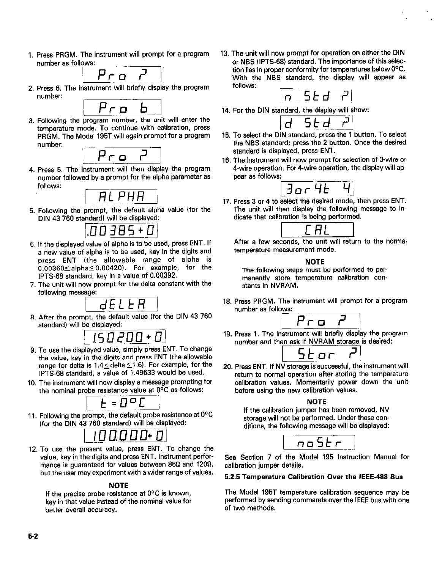I. Press PRGM. The instrument will prompt for a program number as follows:



2. Press 6. The instrument will briefly display the number:



3. Following the program number, the unit will enter the temperature mode. To continue with calibration, press PRGM. The Model 195T will again prompt for a program number:



4. Press 5. The instrument will then display the program number followed bv a prompt for the alpha parameter as follows:



5. Following the prompt, the default alpha value (for the DIN 43 760 standard) will be displayed:



- 6. If the displayed value of alpha is to be used, press ENT. if a new value of alpha is to be used, key in the digits and press ENT (the allowable range of alpha is  $0.00360 \leq$  alpha $\leq 0.00420$ ). For example, for the IPTS-68 standard, key in a value of 0.00392.
- 7. The unit will now prompt for the delta constant with the following message:



8. After the prompt, the default value (for the DIN 43 760 standard) will be displayed:



- 9. To use the displayed value, simply press ENT. To change the value, key in the digits and press ENT (the allowable range for delta is  $1.4 \leq$  delta  $\leq 1.6$ ). For example, for the IPTS-68 standard, a value of 1.49633 would be used.
- 10. The instrument will now display a message prompting for the nominal probe resistance value at  $0^{\circ}$ C as follows:



11. Following the prompt, the default probe resistance at O°C lfor the DIN 43 760 standard) will be displayed:

# 100000+0

12. To use the present value, press ENT. To change the value, key in the digits and press ENT. Instrument performance is guaranteed for values between 85 $\Omega$  and 120 $\Omega$ , but the user may experiment with a wider range of values.

#### **NOTE**

If the precise probe resistance at 0°C is known, key in that value instead of the nominal value for better overall accuracy.

13. The unit will now prompt for operation on either the DIN or NBS (IPTS-68) standard. The importance of this selection lies in proper conformity for temperatures below  $0^{\circ}$ C. With the NBS standard, the display will appear as follows:

$$
\boxed{\mathsf{n} \quad 5Ed \quad \mathsf{P}}
$$

14. For the DIN standard, the display will show:

5 E d H

- 15. To select the DIN standard, press the 1 button. To select the NBS standard; press the 2 button. Once the desired standard is displayed, press ENT.
- 16. The instrument will now prompt for selection of 3-wire or 4-wire operation. For 4wire operation, the display will ap-



17. Press 3 or 4 to select the desired mode, then press ENT. The unit will then display the following message to indicate that calibration is being performed.

 $\lfloor$ 

 $\mathbf{I}$ 



After a few seconds, the unit will return to the normal temperature measurement mode.

#### **NOTE**

The following steps must be performed to permanently store temperature calibration constants in NVRAM.

18. Press PRGM. The instrument will prompt for a program number as follows:



19. Press I. The instrument will briefly display the program number and then ask if NVRAM storage is desired:



20. Press ENT. If NV storage is successful, the instrument will return to normal operation after storing the temperature calibration values. Momentarily power down the unit before using the new calibration values.

#### **NOTE**

If the calibration jumper has been removed, NV storage will not be performed. Under these conditions, the following message will be displayed:



See Section 7 of the Model 195 Instruction Manual for calibration jumper details.

#### 5.2.5 Temperature Calibration Over the IEEE-488 Bus

The Model 195T temperature calibration sequence may be performed by sending commands over the IEEE bus with one of two methods.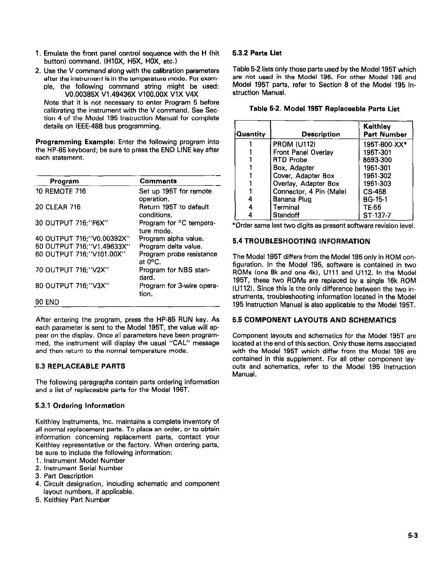- I. Emulate the front panel control sequence with the H (hit button) command. (HIOX, H5X. HOX, etc.)
- 2. Use the V command along with the calibration parameters after the instrument is in the temperature mode. For example, the following command string might be used: V0.00385X V1.49436X V100.00X V1X V4X

Note that it is not necessary to enter Program 5 before calibrating the instrument with the V command. See Section 4 of the Model 195 Instruction Manual for complete details on IEEE-488 bus programming.

Programming Example: Enter the following program into the HP-85 keyboard; be sure to press the END LINE key after each statement.

| <b>Program</b>            | <b>Comments</b>                                   |
|---------------------------|---------------------------------------------------|
| <b>10 REMOTE 716</b>      | Set up 195T for remote<br>operation.              |
| <b>20 CLEAR 716</b>       | Return 195T to default<br>conditions.             |
| 30 OUTPUT 716;"F6X"       | Program for <sup>o</sup> C tempera-<br>ture mode. |
| 40 OUTPUT 716;"V0.00392X" | Program alpha value.                              |
| 50 OUTPUT 716;"V1.49633X" | Program delta value.                              |
| 60 OUTPUT 716;"V101.00X"  | Program probe resistance<br>at 0°C.               |
| 70 OUTPUT 716;"V2X"       | Program for NBS stan-<br>dard.                    |
| 80 OUTPUT 716;"V3X"       | Program for 3-wire opera-<br>tion.                |
| <b>90 END</b>             |                                                   |

After entering the program, press the HP-85 RUN key. As each parameter is sent to the Model 195T. the value will appear on the display. Once all parameters have been programmed, the instrument will display the usual "CAL" message and then return to the normal temperature mode.

#### 5.3 REPLACEABLE PARTS

The following paragraphs contain parts ordering information and a list of replaceable parts for the Model 195T.

#### 5.3.1 Ordering Information

Keithley Instruments, Inc. maintains a complete inventory of all normal replacement parts. To place an order, or to obtain information concerning replacement parts, contact your Keithley representative or the factory. When ordering parts, be sure to include the following information:

- I. Instrument Model Number
- 2. Instrument Serial Number
- 3. Part Description
- 4. Circuit designation, including schematic and component layout numbers, if applicable.
- 5. Keithley Part Number

#### 5.3.2 Parts List

Table 5-2 lists only those parts used by the Model 195T which are not used in the Model 195. For other Model 195 and Model 195T parts, refer to Section 8 of the Model 195 Instruction Manual.

|  |  |  | Table 5-2. Model 195T Replaceable Parts List |  |  |
|--|--|--|----------------------------------------------|--|--|
|--|--|--|----------------------------------------------|--|--|

| <b>Quantity</b> | <b>Description</b>      | Keithley<br><b>Part Number</b> |
|-----------------|-------------------------|--------------------------------|
|                 | <b>PROM (U112)</b>      | 195T-800-XX*                   |
|                 | Front Panel Overlay     | 195T-301                       |
|                 | RTD Probe               | 8693-300                       |
|                 | Box, Adapter            | 1951-301                       |
|                 | Cover, Adapter Box      | 1951-302                       |
|                 | Overlay, Adapter Box    | 1951-303                       |
|                 | Connector, 4 Pin (Male) | CS-458                         |
| 4               | Banana Plug             | <b>BG-15-1</b>                 |
| 4               | Terminal                | TE-55                          |
| 4               | Standoff                | ST 137-7                       |

\*Order same last two digits as present software revision leve

#### 5.4 TROUBLESHOOTING INFORMATION

The Model 195T differs from the Model 195 only in ROM configuration. In the Model 195, software is contained in two ROMs (one 8k and one 4k), U111 and U112. In the Model 195T, these two ROMs are replaced by a single 16k ROM (U112). Since this is the only difference between the two instruments, troubleshooting information located in the Model 195 Instruction Manual is also applicable to the Model 195T.

#### 5.5 COMPONENT LAYOUTS AND SCHEMATICS

Component layouts and schematics for the Model 195T are located at the end of this section. Only those items associated with the Model 195T which differ from the Model 195 are contained in this supplement. For all other component layouts and schematics, refer to the Model 195 Instruction Manual.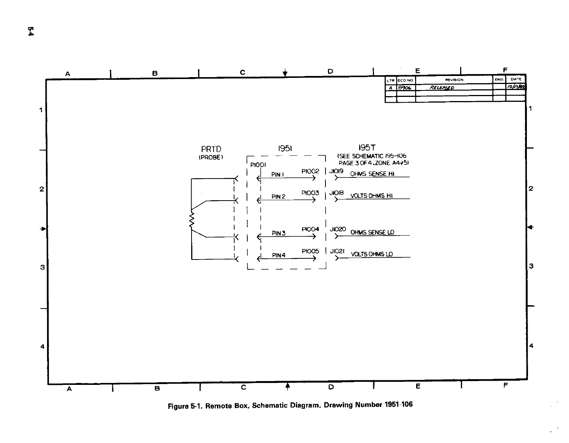



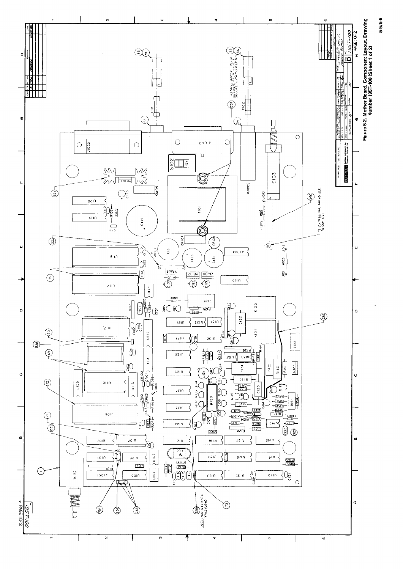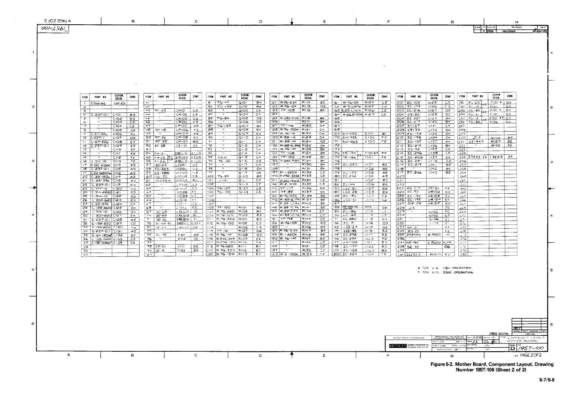| A PAGE 20F 2             | в                                                                                                                                                                                                                                                        | C.                                                                                                                                                                                                                                                                 | D                                                                                                                                                                                                                                                                       | E.                                                                                                                                                                                                                                                                                    |                                                                                                                                                                                                                                                                        | F<br>G                                                                                                                                                                                                                                                  | н                                                                                                                                                                                                                                                                                                                                                                               |
|--------------------------|----------------------------------------------------------------------------------------------------------------------------------------------------------------------------------------------------------------------------------------------------------|--------------------------------------------------------------------------------------------------------------------------------------------------------------------------------------------------------------------------------------------------------------------|-------------------------------------------------------------------------------------------------------------------------------------------------------------------------------------------------------------------------------------------------------------------------|---------------------------------------------------------------------------------------------------------------------------------------------------------------------------------------------------------------------------------------------------------------------------------------|------------------------------------------------------------------------------------------------------------------------------------------------------------------------------------------------------------------------------------------------------------------------|---------------------------------------------------------------------------------------------------------------------------------------------------------------------------------------------------------------------------------------------------------|---------------------------------------------------------------------------------------------------------------------------------------------------------------------------------------------------------------------------------------------------------------------------------------------------------------------------------------------------------------------------------|
| 001-1561                 |                                                                                                                                                                                                                                                          |                                                                                                                                                                                                                                                                    |                                                                                                                                                                                                                                                                         |                                                                                                                                                                                                                                                                                       |                                                                                                                                                                                                                                                                        |                                                                                                                                                                                                                                                         | ZONE LTR ECO NO<br>REVISION<br>DATE<br>748906<br>$\frac{1}{2}$ $\frac{1}{2}$<br>RELEASED                                                                                                                                                                                                                                                                                        |
|                          |                                                                                                                                                                                                                                                          |                                                                                                                                                                                                                                                                    |                                                                                                                                                                                                                                                                         |                                                                                                                                                                                                                                                                                       |                                                                                                                                                                                                                                                                        |                                                                                                                                                                                                                                                         |                                                                                                                                                                                                                                                                                                                                                                                 |
|                          |                                                                                                                                                                                                                                                          |                                                                                                                                                                                                                                                                    |                                                                                                                                                                                                                                                                         |                                                                                                                                                                                                                                                                                       |                                                                                                                                                                                                                                                                        |                                                                                                                                                                                                                                                         |                                                                                                                                                                                                                                                                                                                                                                                 |
| $\mathbf{2}$             | SCHEM.<br>Desig.<br>ZONE<br><b>ITEM</b><br>PART NO.<br><b>I STAKING</b><br>$195 - 101$<br>$\overline{a}$<br>3<br>$C-237 - 0.1$ $C(0)$<br>83.<br>$+$<br>E.<br>CIO2<br>83.<br>$\epsilon$<br><u>cios.</u><br>C <sub>2</sub>                                 | SCHEM.<br>ZONE<br><b>ITEM</b><br>PART NO.<br>DESIG.<br>$+1$<br>$+2$<br>$-43$ RF-28<br>CRIOL<br>∣⊂∋<br>CRIOZ   C3<br>44.<br>$+5$<br>CRIOZ<br><u>) сэ</u><br>$\overline{5}$<br>$CRIO+$ $C3$<br>$C \mathbf{R}$ $O \mathcal{E}$                                        | SCHEM.<br>ZONE<br><b>ITEM</b><br>PART ND.<br>DESIG.<br>$9!$   TG-47<br>QIOL<br>⊖4<br>$82$   TG - 139<br>$ $ QIO2<br>8*<br>QIOE<br>83 I<br>$-11$<br>$C +$<br><b>BH</b><br>Q1OH<br>C+.<br>QIOS<br>$95$ $T$ G-84<br>DЗ<br><b>QIOG</b><br>56<br><b>CONTRACTOR</b><br>D3.    | <b>SCHEM.</b><br>ZONE<br><b>ITEM</b><br>PART NO.<br>DESIG.<br>$121$ R-76-2.2K<br><b>RU+</b><br>ee.<br>$ ZZ $ R-76-10K<br>RU 5<br>DB.<br>$123$   TF-108<br>ا ا¤ا اه<br>в⊣<br>ाङ्गा<br>125 R-282-9 OK   RHS<br>€∸<br>$\overline{126}$ "<br><b>RU</b> ?<br>⋿⊷<br>$127$ TF $-146$<br>R120 | SCHEM.<br>PART NO.<br>ZONE<br>ITEM<br>DESIG.<br>161 R-76-IOK R154<br>C S<br>162   R.3-650K   RIEE<br>C5<br>163 R-315-LOOK   RIEG<br>CS<br>164 R-263400K RIEZ<br>CS.<br>165<br>166                                                                                      | SCHEM.<br><b>ITEM</b><br>PART NO.<br>ZONE<br>DESIG.<br>U25<br>CЗ.<br>$ 201 $ $\text{TC-103}$<br>202 IC-179<br>0.26<br><b>СВ.</b><br>203 IC-216<br>UI27<br>D3.<br>204 29198<br>DB.<br>UI29<br>205 IC-251<br>けにき<br>$A +$<br>$206$ IC $217$<br>いきの<br>E÷. | <b>SCHEM.</b><br>ZONE<br><b>STEM</b><br>PART NO.<br>DESIG.<br>$F/G/K = 63$<br>$241$   Fu-29<br>-63<br>$242   FU - 32  $<br>F/CI<br>$F(0)$ + $63$<br>243   FU 40  <br>$ $ Fior<br>C.S.<br>$244$ $ FU-31 $<br>$\geq 4\epsilon^2 \mid \mathcal{L}_{\mathcal{Q}}\cdot \mathcal{L}_{\mathcal{Q}}$<br>$ F/CZ \neq 1 GSE $<br>$246$ $\lceil 50.46 \rceil$<br>$F_{\alpha\alpha}$<br>GS. |
| $\overline{\phantom{0}}$ | $\overline{7}$<br>$CIO+$<br>C <sub>2</sub><br>CIO5<br>s.<br>D2.<br>$\overline{C}$<br>$9$ $C - C + 22p$<br>D3.<br>$10 [C-237-1]$<br><b>CIOZ</b><br>ΟЭ<br>$\sqrt{C-64.22p}$<br><b>CIOB</b><br>EB.<br>$12$ $C-237-0.1$ $C109$<br>EB.<br>ā<br>CHQ<br>EЗ.     | 47<br>DB.<br>$\sqrt{48}$ RF-48<br>CRIOGI<br>F3<br>$\overline{1+9}$ $\overline{1}$<br>CRIOZ   EBI<br>$50$ RF $46$<br>CRIOS.<br>E4<br>$\lceil 5 \rceil$ RF-38<br>CRIO9.<br>-65<br>52 RF 28<br>CR110<br>O3<br>53                                                      | $87$ $T$ $-139$<br>QIOZ<br>$e+$<br>88<br>QIOB<br>- 19<br>QIC9<br>-99<br>$C+$<br>Q11Q<br>90.<br>CH.<br>$\rightarrow$<br>- 11<br>$C +$<br>-91 -<br>QILL<br>92<br>Q  2<br>$-+$<br>93.<br>Q113<br>-⊆+ i                                                                     | C4.<br>128 R-76-100K   R121<br>CH.<br>$129$ R $76 - 18$<br> R122 <br>$C +$<br>$130$ $R-88$ -HK $R123$<br>C+<br>$E =  R - 88 +  M $<br> R124<br>DЗ<br>132 R-88-6.34K RI25<br>D+<br>$133$ R-76-IM RI26<br>8⊣                                                                            | 167<br>168<br>$169$ $\leq$ $\vee$ $426$<br>  STOT<br>B1<br>$170$ SW-425<br>SIDA<br>F3<br>$171$ Sw-443<br><b>SIOB</b><br>్5<br>$\sqrt{172}$<br>172                                                                                                                      | 207 30167<br>リロー<br>$C +$<br>208 29 38<br>$U = -$<br>D4<br>$209$ $\pm$ $C - 129$<br>الأقال<br>$O +$<br>$210$   IC-176<br>リロー<br>O+<br>$211$ $\sqrt{2}$ $\sqrt{3}$<br>មានត<br>AA<br>$212$ $TC - 219$<br>0.36<br>64<br>$213$ IC 45<br>リミア<br>$C +$        | 247<br> 246 <br>249<br>250  <br>ು ⊤್ತ<br>54<br>WICE<br>B2<br>WIO7<br>$251   C5 - 447$<br>A2<br>wios<br>252<br> 253                                                                                                                                                                                                                                                              |
| 3                        | ामा<br><b>CIFF</b><br>E2.<br>15<br>C112<br>F2.<br>$16 - C$ $31 + C$<br>$ $ CHS<br>F2.<br>$17$ $ C-342 \cdot  C 000 $ $C114$<br>E3.<br>15 C-237-O.I CH5<br>A3<br>17 C-22-6800p CHG<br>Α3<br>$20$ $C-22-150p$ $C117$<br>A3                                 | 2 REG 'D 6 6<br>  54   FH 21<br>$ 2$ REQ D $ 63,65 $<br>55 FH 25 (<br>$56 - 26$<br>2 RES D 6:35<br>$\sqrt{57}$   SO-65<br>$\sim$ 2<br>$\cup$ 100 $\cup$<br>$58$ $C5 - 443$<br>  6.2  <br>JIOOL.<br>$59$ $C5 - 388$<br>$01003$ $14$<br>$UIO04$ $E4$<br>වෙ $ 50.70 $ | $-9 -$<br>Q114<br>$\subset +$<br>75   31641<br>$Q + 5$<br>$- +$<br>$\overline{1}$<br>⊺Q⊥⊑<br>$TC - 128$<br>CS.<br>Q117<br>ラフ<br>$C +$<br>$\mathbf{u}$<br>75.<br>$Q \cup B$<br><b>STAR</b><br>$\Box$<br>$Q + 19$<br>ララー<br>⊷<br>100<br>$TC - 39$<br>Q12O<br>€5           | ंट्रम   गम 108  <br><b>RI27</b><br>B.<br>R125<br>135   TF-150<br>e⇔<br>136 R-282-910K R129<br><b>B+</b><br>उन्न<br><b>CONTRACTOR</b><br>R130<br>-84<br>138  <br>RIGI.<br>6∸<br>139 R-1-220K   RI32<br>CS<br>THO R-282-820K RI33<br>CS.                                                | $174$ $TR-134$<br>$T$ $O$ $H$ $H$ $F$ $H$<br>$175$ $T$ -196<br>TIOL<br>F4<br>176<br>$177$ $TC-250$<br>וסוני,<br>ez i<br>178<br>サつミ<br>62<br>$177$ $\overline{1}$ $\overline{1}$ $\overline{1}$ $\overline{1}$ $\overline{1}$<br>うつき<br>A2<br>180   IC-292<br>ਾ∽∸<br>AЗ | $214$ $TC-246$<br>りつう<br>CS<br>$215$ $TC - 206$<br>りきえ<br>E4<br>$212$ $\pm$ $251$<br>A5<br>9140<br>$2711C - 29$<br>1141<br>E5.<br>218<br>2+ال<br>es.<br>29 IC-246<br>リロチご<br>85<br>222                                                                  | 254  <br>$25527493 - 26118500$ A4<br>256<br>257<br>-258  <br>  259  <br>260                                                                                                                                                                                                                                                                                                     |
|                          | 2) (C-22-33 <sub>P</sub> (C118)<br>$AA +$<br>22   C-237-01   CH9<br>C <sub>4</sub><br><u>[23   C-314-10   C120</u><br>CE.<br>24 C-314-2200 C121<br>ΕЗ<br>$25$ $C-314-10$ $C(22)$<br>OЗ<br>126   C-309-620 CI23<br>EЗ.<br>$27$ $C-22-33p$ $C124$<br>$C +$ | $101005 + 63$<br>61   24249A<br>62<br>$1006$ $C3$<br>63  <br>$J1007$ $E3$<br>$\sim 100$<br>54<br>JIO08 F5<br>$G \in \mathbb{R}$<br>JIOO 9<br>l E SI<br>$\sim 10^{-1}$<br>$\overline{55}$<br> JIOID <br>HF 5.<br>$\sqrt{7}$<br> C5 <br>  JIC FE<br>$\sim$ 100 $\pm$ | $Q + 1$<br>ו כו<br>こ) 七斗し<br>CS.<br>102<br>$Q \cup Z$<br>CS.<br>Q(25)<br>103   TG-137<br>C5<br>104   TG - 139<br>Q124<br>CS.<br>೦೯<br>つる<br>'O7'                                                                                                                        | C5.<br>$141$ $82 - 9/6k$ RI34<br>142 R-2-910K R135<br>C5.<br>143 TF-149<br><b>RI36</b><br>D5.<br>$H + \frac{1}{100} + 85$<br><b>RIP7</b><br>D+<br><b>HE R-76-7.5K RIBB</b><br>B5 .<br>$146$ $R - 88 - 6$ $19K$ $R$ $129$<br>BS<br>1+7 R.88-1,54K RIHO<br>Bε                           | 151<br>-63<br>うつう<br>182 I.C. 144<br>いこん<br>ea<br>+93   LSI-50<br>1107<br>EZ.<br>$184$ LSI 28<br>9108.<br>e 2<br>$185$ $\sqrt{20}$<br>アニテ<br>CZ<br>136   151.51<br><b>COLL</b><br>C Z<br>ंडर                                                                           | $22 +$<br>252<br>$223$ $\pm$ C $\cdot$ P $\overline{z}$<br>$VPIQ1$ $F2$<br>$224$ $TC.97$<br>$V$ RIOZ $E$<br>$225$ $\text{IC}$ 194<br>VRIOE   E4<br>VRIOH EH<br>$226$ $TC - 195$<br>227   ⊜≇-58  <br>$ VROE $ BS                                         | (61)<br>2.22<br>263<br>$264$  <br>265<br>266<br>267]                                                                                                                                                                                                                                                                                                                            |
| $\overline{a}$           | -28 TC 138-360d 0125<br>$\Box$<br>D4<br>30   1-307-620 1127<br>E+<br>$3!$ $C.237 \cdot 0.1$ $C.28$<br>AS.<br>  32   C-138-330   CI29<br>CE<br>33 C 138-1500 C130<br>DH.<br>$5 +  C237 \cdot 0.1 $ $C131$<br>A5                                           | $U1012$ <b>ES</b><br>$68 \mid$<br>$\sim$ 10 $^{\circ}$<br>$25 - 50.68$<br>REGIO I DI<br>$70   50 - 69$<br><b>IREQ'D</b> DI<br>$REQD$ $ E1$<br>フリー<br>  SO 82<br>$72   S \cdot 84.40$<br>BRECUL KIDELI<br>$73 - 50 - 65$<br>$REDD$ $C4$                             | ⊦03   TF -100  <br>RIOL<br>-e 2<br>$\cup$ + $R$ -76 -220<br><b>RIO2</b><br>eз.<br>110 R-76 10 K<br>RIOS<br>es.<br>$11.1$ R-76-330<br><b>RIC+</b><br>EЗ<br><b>IP2 R-76-100</b><br><b>RIO5</b><br>CЗ.<br><b>CONTRACTOR</b><br>113 I<br><b>RIOG</b><br>CЗ.<br>RIO7<br>  O2 | $148$ R-88-10.7K RIH<br>B€<br>$143$ R-88-7.5K RI42<br>- 25<br>150 R-88-12,7K RI43<br>C5.<br>$17F - 148$<br>R144<br>C5.<br>15 L<br>$ 52 $ R-76-10K $ R145$<br>ES.<br>R146<br>€€<br>153 I<br>$\rightarrow$<br>154 R.76-3.3K   RI47<br>85.                                               | 198 1957-800-XX 11/2<br>OZ.<br>159 IC-186<br>ا کا این<br>고 준다<br>$190 \mid 101 \mid 63$<br>くる。<br>ti kiriye<br>$171$ IC 280<br>ෙ 5<br>CE.<br>$ 92 $ $TC - 7 $<br>ا ما الل<br>OΞ.<br>193   LSI-27<br>サロブ<br>DZ.<br>「 <del>74</del>   LSI-49<br>キャロン<br>EZ               | 228 J-3<br>D3.<br>229<br>F <sub>S</sub><br>102<br>ফ⊡<br>$ \epsilon$<br>W103<br>231<br>$\omega$ 04<br>  čí<br>$\overline{335}$<br>11175<br>ien i<br>$232$ HS-21<br>£3.<br>$234$ HS-25<br>F2                                                              | المتاحات<br>269<br>  276  <br>271<br>$\sim$ $\sim$<br>-275  <br>274                                                                                                                                                                                                                                                                                                             |
|                          | $35$ $C$ $64$ $15QpF$ $C$ $132$ $T$<br>65.<br>$36$ $C$ $38$ $1000$ $C$ $33$ $C$ $5$<br>$37$ $ C-138-3600pF C134$ $ C5$<br>-38 I<br>39<br>42                                                                                                              | $75$ PL-72<br>$K$ IOI<br>D.5<br>$K$ O2<br>$\overline{5}$<br>76  <br>$\sim$<br>77<br>$78$ $CR-10$<br>YIOL<br>1D3<br> 83 <br>77 CR-19<br>17102<br>-90                                                                                                                | 115 R-76-1M RIOB<br>DB.<br>$116$ R-246-249 RIOT<br>FZ<br> 117  R-296-750   RTIO<br>  F2<br>$1.8$ $R.76.220$ $R.11$<br>e y<br>$113$ R 76-330 RH2<br>E.<br>$120$ R-76-15M RD 3<br>e S                                                                                     | <b>IFF R-1-22OK RIHS</b><br>BS !<br>$156$ $R.76 - 1M$<br>R149<br>es i<br>RISC.<br>$ 157\rangle$<br>1. CS. .<br><b>Contract Contract</b><br>C٤<br>158   "<br>RISI.<br>RI54<br>$C_{\mathcal{F}_{\mathcal{C}}}$<br>$159 +$<br>160 R.Z. 100K   RIE3<br>C5.                                | $135$ $\sqrt{IC-298}$<br>E2.<br>. நபாக<br>$196$ IC-299<br>F2<br>ان غالا<br>$ 177 $ $T$ C-106<br>EB.<br>天 (古土)<br>138   IC-197<br>.e.∋<br>ふどう<br>$137$ $TC - 38$<br>вэ<br>ا ج طال<br>200 IC-324<br>ا + 2ال<br>-13                                                       | $235$ 24249A<br>6 REQ'C $\sim$<br>236<br>$237$ $FA - 147$<br>$2$ REQID $ \epsilon, r4 $<br>$238$ SC $55$<br>06<br>2.39<br>26533A<br>$\mathsf{PED} \mathsf{D} \mid \mathsf{F6}$                                                                          | 임성 1<br>276<br>$\epsilon$ (1)<br>الخلام<br>$27 - 1$<br>-280                                                                                                                                                                                                                                                                                                                     |
| 5                        |                                                                                                                                                                                                                                                          |                                                                                                                                                                                                                                                                    |                                                                                                                                                                                                                                                                         |                                                                                                                                                                                                                                                                                       |                                                                                                                                                                                                                                                                        | * FOR U.S. H5V. OPERATION.<br>1 FOR U.S. 230V. OPERATION.                                                                                                                                                                                               |                                                                                                                                                                                                                                                                                                                                                                                 |
|                          |                                                                                                                                                                                                                                                          |                                                                                                                                                                                                                                                                    |                                                                                                                                                                                                                                                                         |                                                                                                                                                                                                                                                                                       |                                                                                                                                                                                                                                                                        |                                                                                                                                                                                                                                                         |                                                                                                                                                                                                                                                                                                                                                                                 |
| 6                        |                                                                                                                                                                                                                                                          |                                                                                                                                                                                                                                                                    |                                                                                                                                                                                                                                                                         |                                                                                                                                                                                                                                                                                       |                                                                                                                                                                                                                                                                        | DIMENSIONAL TOLERANGES<br>JNLÉSS OTHERWISE SPECIFIED<br>DO NOT SCALE THIS DRAWING<br>$XX = \pm 0.15$<br>KEITHLEY Reithley Instruments Inc.<br>$XXX = -005$<br>SURFACE MAX SA                                                                            | 795 T L<br>MODEL NEXT ASSEMBLY QTY<br>290 12/20/82<br>USED ON<br><b>DATE 3-22-82 SCALE 2</b><br><sup>PIE</sup> COMPONENT, LAYOUT<br>MOTHER BOARD<br>$\frac{1}{2}$<br>ANG LET<br>omv_9 3<br>$\sum_{n=1}^{\frac{1}{2}} \sqrt[n]{957-100}$<br>FRAC = 11/64 MATERIAL<br>へ<br>سد                                                                                                     |
|                          | A<br>$\mathbf{B}$                                                                                                                                                                                                                                        | $\mathsf{C}$                                                                                                                                                                                                                                                       | D                                                                                                                                                                                                                                                                       | E.                                                                                                                                                                                                                                                                                    |                                                                                                                                                                                                                                                                        | F.<br>G.                                                                                                                                                                                                                                                | H PAGE 2 OF 2                                                                                                                                                                                                                                                                                                                                                                   |



|  |                          | RELEASED        | æ               |
|--|--------------------------|-----------------|-----------------|
|  | <b>I ZONE LITR ECONO</b> | <b>REVISION</b> | DATE.<br>$\sim$ |
|  |                          |                 |                 |

Figure 5-2. Mother Board, Component Layout, Drawing<br>Number 195T-100 (Sheet 2 of 2)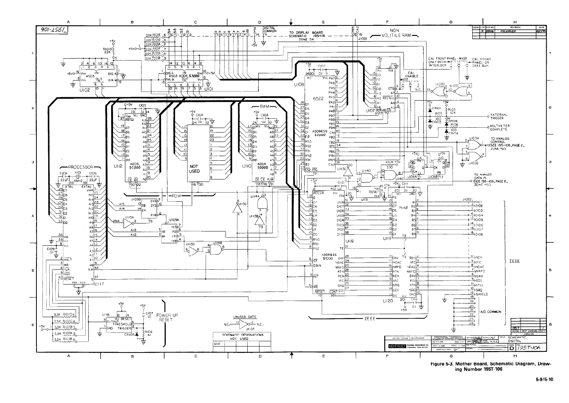

Figure 5-3. Mother Board, Schematic Diagram, Drawing Number 195T-106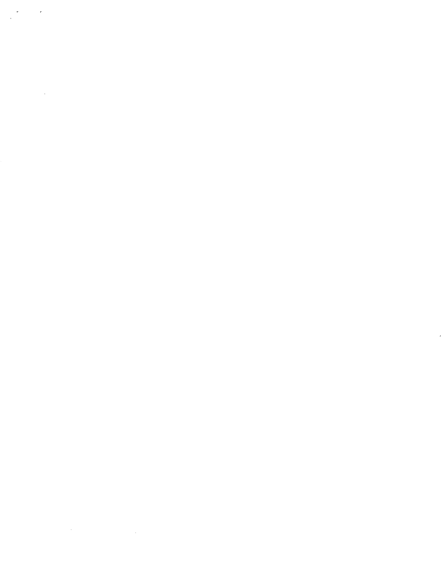$\label{eq:2.1} \frac{1}{\sqrt{2\pi}}\frac{1}{\sqrt{2\pi}}\frac{1}{\sqrt{2\pi}}\frac{1}{\sqrt{2\pi}}\frac{1}{\sqrt{2\pi}}\frac{1}{\sqrt{2\pi}}\frac{1}{\sqrt{2\pi}}\frac{1}{\sqrt{2\pi}}\frac{1}{\sqrt{2\pi}}\frac{1}{\sqrt{2\pi}}\frac{1}{\sqrt{2\pi}}\frac{1}{\sqrt{2\pi}}\frac{1}{\sqrt{2\pi}}\frac{1}{\sqrt{2\pi}}\frac{1}{\sqrt{2\pi}}\frac{1}{\sqrt{2\pi}}\frac{1}{\sqrt{2\pi}}\frac{1}{\sqrt$ 

 $\label{eq:2.1} \frac{1}{\sqrt{2\pi}}\int_{\mathbb{R}^3}\frac{1}{\sqrt{2\pi}}\left(\frac{1}{\sqrt{2\pi}}\right)^2\frac{1}{\sqrt{2\pi}}\int_{\mathbb{R}^3}\frac{1}{\sqrt{2\pi}}\frac{1}{\sqrt{2\pi}}\frac{1}{\sqrt{2\pi}}\frac{1}{\sqrt{2\pi}}\frac{1}{\sqrt{2\pi}}\frac{1}{\sqrt{2\pi}}\frac{1}{\sqrt{2\pi}}\frac{1}{\sqrt{2\pi}}\frac{1}{\sqrt{2\pi}}\frac{1}{\sqrt{2\pi}}\frac{1}{\sqrt{2\pi}}\frac{$ 

 $\label{eq:2.1} \frac{1}{\sqrt{2\pi}}\frac{1}{\sqrt{2\pi}}\frac{1}{\sqrt{2\pi}}\frac{1}{\sqrt{2\pi}}\frac{1}{\sqrt{2\pi}}\frac{1}{\sqrt{2\pi}}\frac{1}{\sqrt{2\pi}}\frac{1}{\sqrt{2\pi}}\frac{1}{\sqrt{2\pi}}\frac{1}{\sqrt{2\pi}}\frac{1}{\sqrt{2\pi}}\frac{1}{\sqrt{2\pi}}\frac{1}{\sqrt{2\pi}}\frac{1}{\sqrt{2\pi}}\frac{1}{\sqrt{2\pi}}\frac{1}{\sqrt{2\pi}}\frac{1}{\sqrt{2\pi}}\frac{1}{\sqrt$ 

j